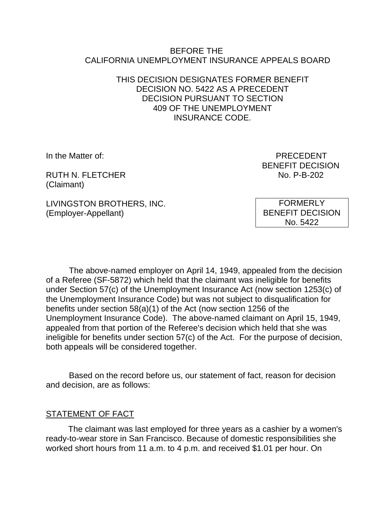#### BEFORE THE CALIFORNIA UNEMPLOYMENT INSURANCE APPEALS BOARD

#### THIS DECISION DESIGNATES FORMER BENEFIT DECISION NO. 5422 AS A PRECEDENT DECISION PURSUANT TO SECTION 409 OF THE UNEMPLOYMENT INSURANCE CODE.

RUTH N. FLETCHER NO. P-B-202 (Claimant)

In the Matter of: PRECEDENT BENEFIT DECISION

LIVINGSTON BROTHERS, INC. (Employer-Appellant)

FORMERLY BENEFIT DECISION No. 5422

The above-named employer on April 14, 1949, appealed from the decision of a Referee (SF-5872) which held that the claimant was ineligible for benefits under Section 57(c) of the Unemployment Insurance Act (now section 1253(c) of the Unemployment Insurance Code) but was not subject to disqualification for benefits under section 58(a)(1) of the Act (now section 1256 of the Unemployment Insurance Code). The above-named claimant on April 15, 1949, appealed from that portion of the Referee's decision which held that she was ineligible for benefits under section 57(c) of the Act. For the purpose of decision, both appeals will be considered together.

Based on the record before us, our statement of fact, reason for decision and decision, are as follows:

# STATEMENT OF FACT

The claimant was last employed for three years as a cashier by a women's ready-to-wear store in San Francisco. Because of domestic responsibilities she worked short hours from 11 a.m. to 4 p.m. and received \$1.01 per hour. On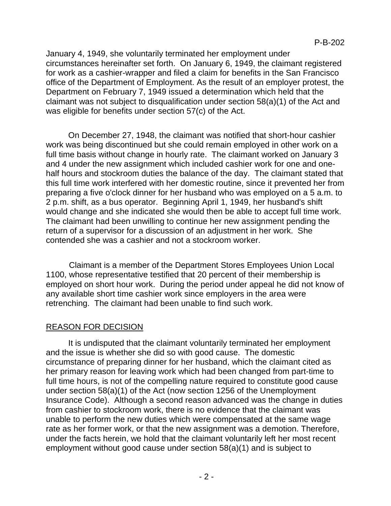January 4, 1949, she voluntarily terminated her employment under circumstances hereinafter set forth. On January 6, 1949, the claimant registered for work as a cashier-wrapper and filed a claim for benefits in the San Francisco office of the Department of Employment. As the result of an employer protest, the Department on February 7, 1949 issued a determination which held that the claimant was not subject to disqualification under section 58(a)(1) of the Act and was eligible for benefits under section 57(c) of the Act.

On December 27, 1948, the claimant was notified that short-hour cashier work was being discontinued but she could remain employed in other work on a full time basis without change in hourly rate. The claimant worked on January 3 and 4 under the new assignment which included cashier work for one and onehalf hours and stockroom duties the balance of the day. The claimant stated that this full time work interfered with her domestic routine, since it prevented her from preparing a five o'clock dinner for her husband who was employed on a 5 a.m. to 2 p.m. shift, as a bus operator. Beginning April 1, 1949, her husband's shift would change and she indicated she would then be able to accept full time work. The claimant had been unwilling to continue her new assignment pending the return of a supervisor for a discussion of an adjustment in her work. She contended she was a cashier and not a stockroom worker.

Claimant is a member of the Department Stores Employees Union Local 1100, whose representative testified that 20 percent of their membership is employed on short hour work. During the period under appeal he did not know of any available short time cashier work since employers in the area were retrenching. The claimant had been unable to find such work.

# REASON FOR DECISION

It is undisputed that the claimant voluntarily terminated her employment and the issue is whether she did so with good cause. The domestic circumstance of preparing dinner for her husband, which the claimant cited as her primary reason for leaving work which had been changed from part-time to full time hours, is not of the compelling nature required to constitute good cause under section 58(a)(1) of the Act (now section 1256 of the Unemployment Insurance Code). Although a second reason advanced was the change in duties from cashier to stockroom work, there is no evidence that the claimant was unable to perform the new duties which were compensated at the same wage rate as her former work, or that the new assignment was a demotion. Therefore, under the facts herein, we hold that the claimant voluntarily left her most recent employment without good cause under section 58(a)(1) and is subject to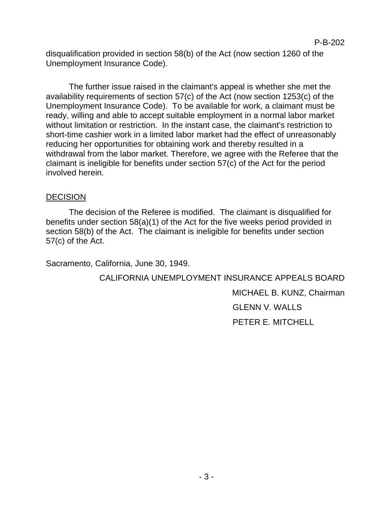disqualification provided in section 58(b) of the Act (now section 1260 of the Unemployment Insurance Code).

The further issue raised in the claimant's appeal is whether she met the availability requirements of section 57(c) of the Act (now section 1253(c) of the Unemployment Insurance Code). To be available for work, a claimant must be ready, willing and able to accept suitable employment in a normal labor market without limitation or restriction. In the instant case, the claimant's restriction to short-time cashier work in a limited labor market had the effect of unreasonably reducing her opportunities for obtaining work and thereby resulted in a withdrawal from the labor market. Therefore, we agree with the Referee that the claimant is ineligible for benefits under section 57(c) of the Act for the period involved herein.

### **DECISION**

The decision of the Referee is modified. The claimant is disqualified for benefits under section 58(a)(1) of the Act for the five weeks period provided in section 58(b) of the Act. The claimant is ineligible for benefits under section 57(c) of the Act.

Sacramento, California, June 30, 1949.

CALIFORNIA UNEMPLOYMENT INSURANCE APPEALS BOARD MICHAEL B. KUNZ, Chairman GLENN V. WALLS PETER E. MITCHELL